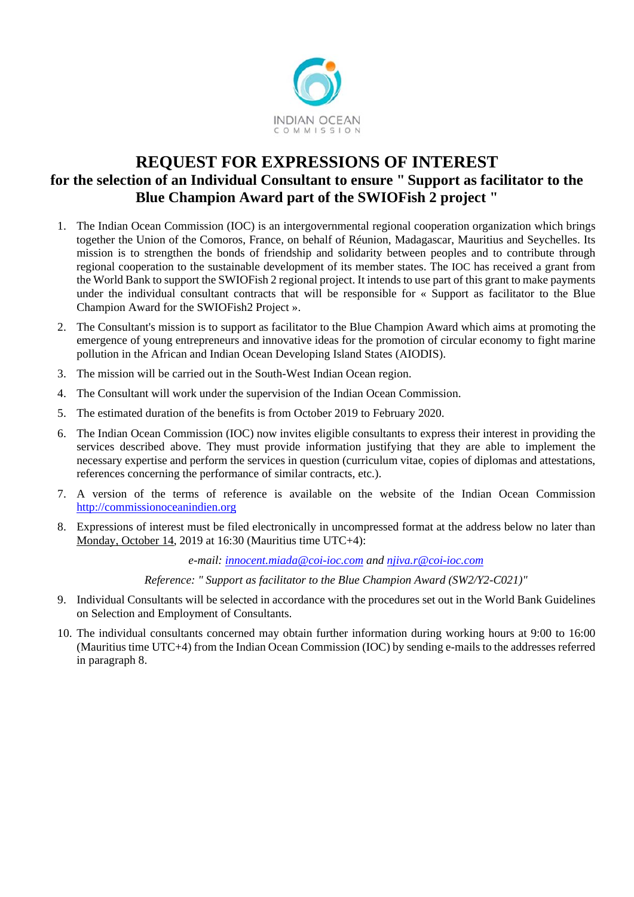

## **REQUEST FOR EXPRESSIONS OF INTEREST for the selection of an Individual Consultant to ensure " Support as facilitator to the Blue Champion Award part of the SWIOFish 2 project "**

- 1. The Indian Ocean Commission (IOC) is an intergovernmental regional cooperation organization which brings together the Union of the Comoros, France, on behalf of Réunion, Madagascar, Mauritius and Seychelles. Its mission is to strengthen the bonds of friendship and solidarity between peoples and to contribute through regional cooperation to the sustainable development of its member states. The IOC has received a grant from the World Bank to support the SWIOFish 2 regional project. It intends to use part of this grant to make payments under the individual consultant contracts that will be responsible for « Support as facilitator to the Blue Champion Award for the SWIOFish2 Project ».
- 2. The Consultant's mission is to support as facilitator to the Blue Champion Award which aims at promoting the emergence of young entrepreneurs and innovative ideas for the promotion of circular economy to fight marine pollution in the African and Indian Ocean Developing Island States (AIODIS).
- 3. The mission will be carried out in the South-West Indian Ocean region.
- 4. The Consultant will work under the supervision of the Indian Ocean Commission.
- 5. The estimated duration of the benefits is from October 2019 to February 2020.
- 6. The Indian Ocean Commission (IOC) now invites eligible consultants to express their interest in providing the services described above. They must provide information justifying that they are able to implement the necessary expertise and perform the services in question (curriculum vitae, copies of diplomas and attestations, references concerning the performance of similar contracts, etc.).
- 7. A version of the terms of reference is available on the website of the Indian Ocean Commission http://commissionoceanindien.org
- 8. Expressions of interest must be filed electronically in uncompressed format at the address below no later than Monday, October 14, 2019 at 16:30 (Mauritius time UTC+4):

*e-mail: innocent.miada@coi-ioc.com and njiva.r@coi-ioc.com*

*Reference: " Support as facilitator to the Blue Champion Award (SW2/Y2-C021)"* 

- 9. Individual Consultants will be selected in accordance with the procedures set out in the World Bank Guidelines on Selection and Employment of Consultants.
- 10. The individual consultants concerned may obtain further information during working hours at 9:00 to 16:00 (Mauritius time UTC+4) from the Indian Ocean Commission (IOC) by sending e-mails to the addresses referred in paragraph 8.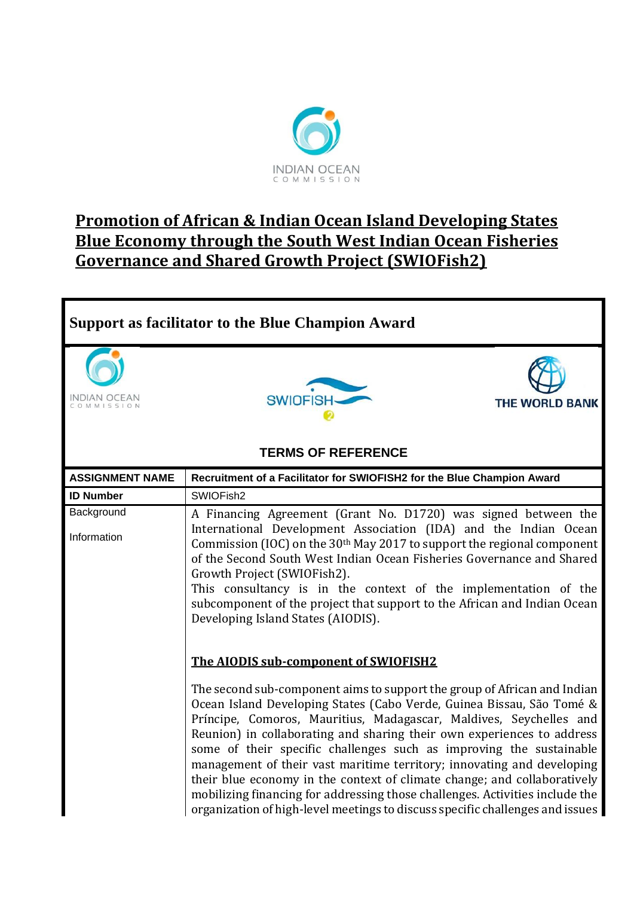

## **Promotion of African & Indian Ocean Island Developing States Blue Economy through the South West Indian Ocean Fisheries Governance and Shared Growth Project (SWIOFish2)**

## **Support as facilitator to the Blue Champion Award INDIAN OCEAN SWIDFISH THE WORLD BANK** OMMISSION **TERMS OF REFERENCE ASSIGNMENT NAME Recruitment of a Facilitator for SWIOFISH2 for the Blue Champion Award ID Number SWIOFish2 Background** A Financing Agreement (Grant No. D1720) was signed between the International Development Association (IDA) and the Indian Ocean Information Commission (IOC) on the 30th May 2017 to support the regional component of the Second South West Indian Ocean Fisheries Governance and Shared Growth Project (SWIOFish2). This consultancy is in the context of the implementation of the subcomponent of the project that support to the African and Indian Ocean Developing Island States (AIODIS). **The AIODIS sub-component of SWIOFISH2** The second sub-component aims to support the group of African and Indian Ocean Island Developing States (Cabo Verde, Guinea Bissau, São Tomé & Príncipe, Comoros, Mauritius, Madagascar, Maldives, Seychelles and Reunion) in collaborating and sharing their own experiences to address some of their specific challenges such as improving the sustainable management of their vast maritime territory; innovating and developing their blue economy in the context of climate change; and collaboratively mobilizing financing for addressing those challenges. Activities include the organization of high-level meetings to discuss specific challenges and issues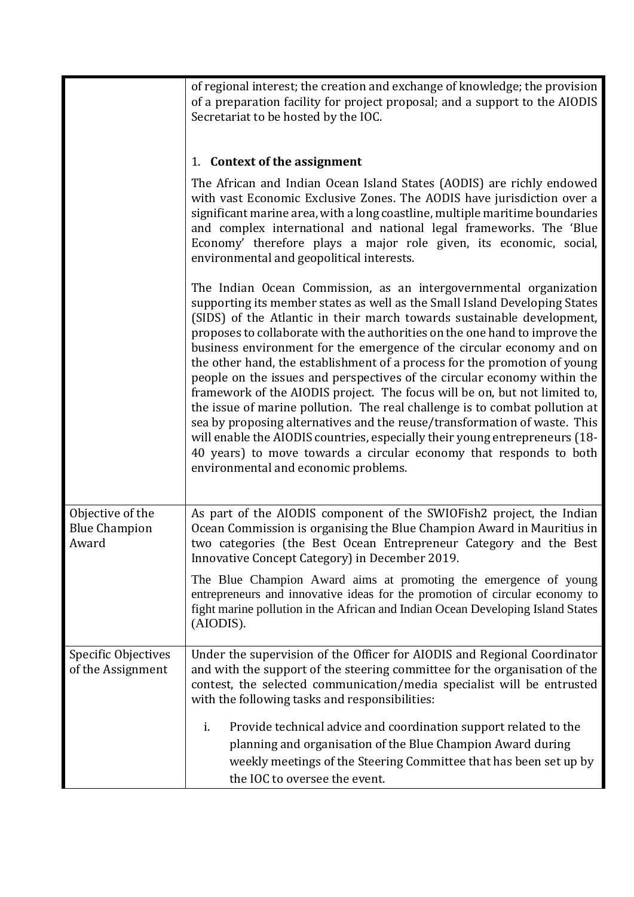|                                                   | of regional interest; the creation and exchange of knowledge; the provision<br>of a preparation facility for project proposal; and a support to the AIODIS<br>Secretariat to be hosted by the IOC.                                                                                                                                                                                                                                                                                                                                                                                                                                                                                                                                                                                                                                                                                                                                                                                |  |  |  |
|---------------------------------------------------|-----------------------------------------------------------------------------------------------------------------------------------------------------------------------------------------------------------------------------------------------------------------------------------------------------------------------------------------------------------------------------------------------------------------------------------------------------------------------------------------------------------------------------------------------------------------------------------------------------------------------------------------------------------------------------------------------------------------------------------------------------------------------------------------------------------------------------------------------------------------------------------------------------------------------------------------------------------------------------------|--|--|--|
|                                                   | 1. Context of the assignment                                                                                                                                                                                                                                                                                                                                                                                                                                                                                                                                                                                                                                                                                                                                                                                                                                                                                                                                                      |  |  |  |
|                                                   | The African and Indian Ocean Island States (AODIS) are richly endowed<br>with vast Economic Exclusive Zones. The AODIS have jurisdiction over a<br>significant marine area, with a long coastline, multiple maritime boundaries<br>and complex international and national legal frameworks. The 'Blue<br>Economy' therefore plays a major role given, its economic, social,<br>environmental and geopolitical interests.                                                                                                                                                                                                                                                                                                                                                                                                                                                                                                                                                          |  |  |  |
|                                                   | The Indian Ocean Commission, as an intergovernmental organization<br>supporting its member states as well as the Small Island Developing States<br>(SIDS) of the Atlantic in their march towards sustainable development,<br>proposes to collaborate with the authorities on the one hand to improve the<br>business environment for the emergence of the circular economy and on<br>the other hand, the establishment of a process for the promotion of young<br>people on the issues and perspectives of the circular economy within the<br>framework of the AIODIS project. The focus will be on, but not limited to,<br>the issue of marine pollution. The real challenge is to combat pollution at<br>sea by proposing alternatives and the reuse/transformation of waste. This<br>will enable the AIODIS countries, especially their young entrepreneurs (18-<br>40 years) to move towards a circular economy that responds to both<br>environmental and economic problems. |  |  |  |
| Objective of the<br><b>Blue Champion</b><br>Award | As part of the AIODIS component of the SWIOFish2 project, the Indian<br>Ocean Commission is organising the Blue Champion Award in Mauritius in<br>two categories (the Best Ocean Entrepreneur Category and the Best<br>Innovative Concept Category) in December 2019.                                                                                                                                                                                                                                                                                                                                                                                                                                                                                                                                                                                                                                                                                                             |  |  |  |
|                                                   | The Blue Champion Award aims at promoting the emergence of young<br>entrepreneurs and innovative ideas for the promotion of circular economy to<br>fight marine pollution in the African and Indian Ocean Developing Island States<br>(AIODIS).                                                                                                                                                                                                                                                                                                                                                                                                                                                                                                                                                                                                                                                                                                                                   |  |  |  |
| <b>Specific Objectives</b><br>of the Assignment   | Under the supervision of the Officer for AIODIS and Regional Coordinator<br>and with the support of the steering committee for the organisation of the<br>contest, the selected communication/media specialist will be entrusted<br>with the following tasks and responsibilities:                                                                                                                                                                                                                                                                                                                                                                                                                                                                                                                                                                                                                                                                                                |  |  |  |
|                                                   | Provide technical advice and coordination support related to the<br>i.<br>planning and organisation of the Blue Champion Award during<br>weekly meetings of the Steering Committee that has been set up by<br>the IOC to oversee the event.                                                                                                                                                                                                                                                                                                                                                                                                                                                                                                                                                                                                                                                                                                                                       |  |  |  |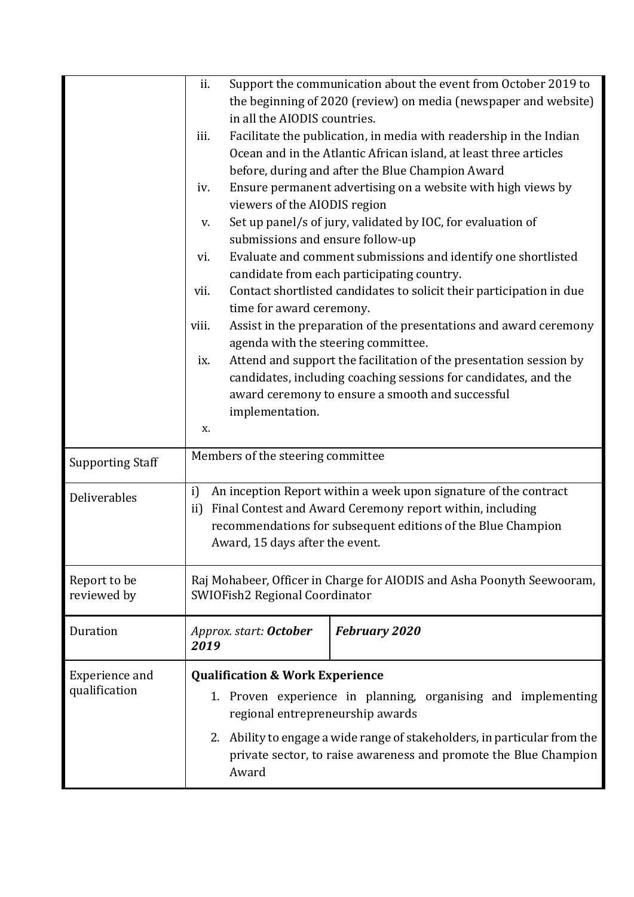|                         | ii.                                                                    |                                   | Support the communication about the event from October 2019 to            |  |
|-------------------------|------------------------------------------------------------------------|-----------------------------------|---------------------------------------------------------------------------|--|
|                         |                                                                        |                                   | the beginning of 2020 (review) on media (newspaper and website)           |  |
|                         |                                                                        | in all the AIODIS countries.      |                                                                           |  |
|                         | iii.                                                                   |                                   | Facilitate the publication, in media with readership in the Indian        |  |
|                         |                                                                        |                                   | Ocean and in the Atlantic African island, at least three articles         |  |
|                         |                                                                        |                                   | before, during and after the Blue Champion Award                          |  |
|                         | iv.                                                                    |                                   | Ensure permanent advertising on a website with high views by              |  |
|                         |                                                                        | viewers of the AIODIS region      |                                                                           |  |
|                         | V.                                                                     |                                   | Set up panel/s of jury, validated by IOC, for evaluation of               |  |
|                         |                                                                        | submissions and ensure follow-up  |                                                                           |  |
|                         | vi.                                                                    |                                   | Evaluate and comment submissions and identify one shortlisted             |  |
|                         |                                                                        |                                   | candidate from each participating country.                                |  |
|                         | vii.                                                                   | time for award ceremony.          | Contact shortlisted candidates to solicit their participation in due      |  |
|                         | viii.                                                                  |                                   | Assist in the preparation of the presentations and award ceremony         |  |
|                         |                                                                        |                                   | agenda with the steering committee.                                       |  |
|                         | ix.                                                                    |                                   | Attend and support the facilitation of the presentation session by        |  |
|                         |                                                                        |                                   | candidates, including coaching sessions for candidates, and the           |  |
|                         |                                                                        |                                   | award ceremony to ensure a smooth and successful                          |  |
|                         |                                                                        | implementation.                   |                                                                           |  |
|                         | Х.                                                                     |                                   |                                                                           |  |
| <b>Supporting Staff</b> |                                                                        | Members of the steering committee |                                                                           |  |
| Deliverables            | i)                                                                     |                                   | An inception Report within a week upon signature of the contract          |  |
|                         | $\rm ii)$                                                              |                                   | Final Contest and Award Ceremony report within, including                 |  |
|                         |                                                                        |                                   | recommendations for subsequent editions of the Blue Champion              |  |
|                         |                                                                        | Award, 15 days after the event.   |                                                                           |  |
|                         |                                                                        |                                   |                                                                           |  |
| Report to be            | Raj Mohabeer, Officer in Charge for AIODIS and Asha Poonyth Seewooram, |                                   |                                                                           |  |
| reviewed by             |                                                                        | SWIOFish2 Regional Coordinator    |                                                                           |  |
|                         |                                                                        |                                   |                                                                           |  |
| Duration                | 2019                                                                   | Approx. start: October            | <b>February 2020</b>                                                      |  |
| Experience and          | <b>Qualification &amp; Work Experience</b>                             |                                   |                                                                           |  |
| qualification           | 1. Proven experience in planning, organising and implementing          |                                   |                                                                           |  |
|                         | regional entrepreneurship awards                                       |                                   |                                                                           |  |
|                         |                                                                        |                                   | 2. Ability to engage a wide range of stakeholders, in particular from the |  |
|                         |                                                                        |                                   | private sector, to raise awareness and promote the Blue Champion          |  |
|                         |                                                                        | Award                             |                                                                           |  |